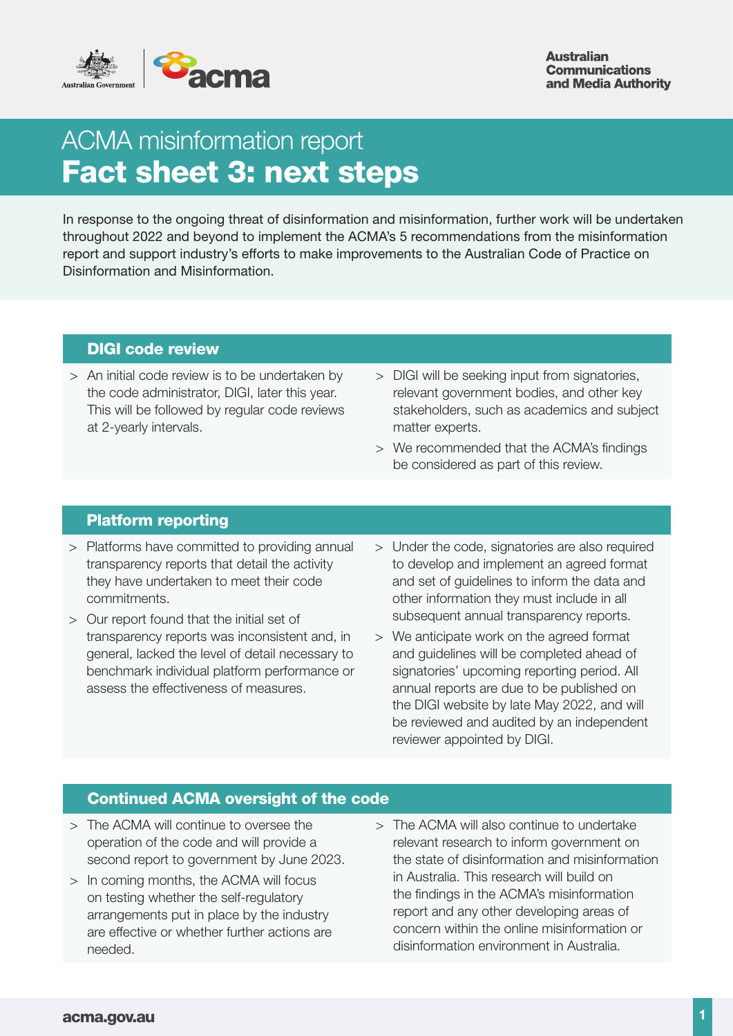

**Australian Communications** and Media Authority

# ACMA misinformation report Fact sheet 3: next steps

In response to the ongoing threat of disinformation and misinformation, further work will be undertaken throughout 2022 and beyond to implement the ACMA's 5 recommendations from the misinformation report and support industry's efforts to make improvements to the Australian Code of Practice on Disinformation and Misinformation.

# DIGI code review

- > An initial code review is to be undertaken by the code administrator, DIGI, later this year. This will be followed by regular code reviews at 2-yearly intervals.
- > DIGI will be seeking input from signatories, relevant government bodies, and other key stakeholders, such as academics and subject matter experts.
- > We recommended that the ACMA's findings be considered as part of this review.

### Platform reporting

- > Platforms have committed to providing annual transparency reports that detail the activity they have undertaken to meet their code commitments.
- > Our report found that the initial set of transparency reports was inconsistent and, in general, lacked the level of detail necessary to benchmark individual platform performance or assess the effectiveness of measures.
- > Under the code, signatories are also required to develop and implement an agreed format and set of guidelines to inform the data and other information they must include in all subsequent annual transparency reports.
- > We anticipate work on the agreed format and guidelines will be completed ahead of signatories' upcoming reporting period. All annual reports are due to be published on the DIGI website by late May 2022, and will be reviewed and audited by an independent reviewer appointed by DIGI.

# Continued ACMA oversight of the code

- > The ACMA will continue to oversee the operation of the code and will provide a second report to government by June 2023.
- > In coming months, the ACMA will focus on testing whether the self-regulatory arrangements put in place by the industry are effective or whether further actions are needed.
- > The ACMA will also continue to undertake relevant research to inform government on the state of disinformation and misinformation in Australia. This research will build on the findings in the ACMA's misinformation report and any other developing areas of concern within the online misinformation or disinformation environment in Australia.